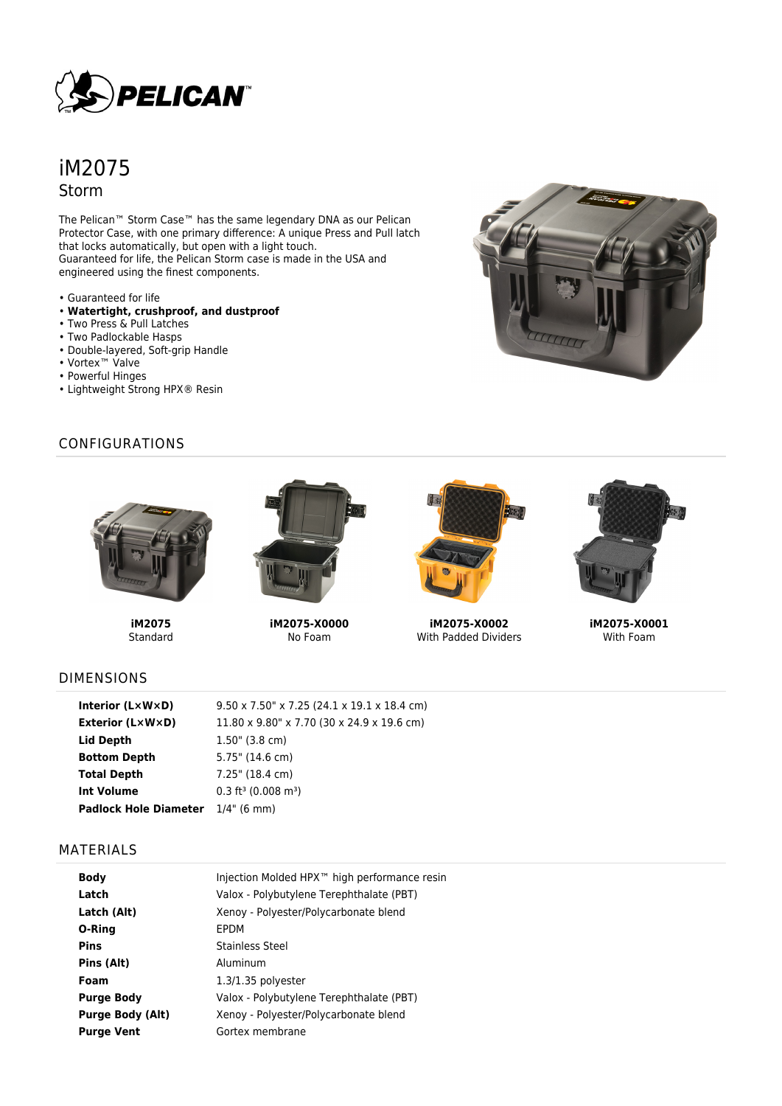

# iM2075 Storm

The Pelican™ Storm Case™ has the same legendary DNA as our Pelican Protector Case, with one primary difference: A unique Press and Pull latch that locks automatically, but open with a light touch. Guaranteed for life, the Pelican Storm case is made in the USA and engineered using the finest components.

- Guaranteed for life
- **Watertight, crushproof, and dustproof**
- Two Press & Pull Latches
- Two Padlockable Hasps
- Double-layered, Soft-grip Handle
- Vortex™ Valve
- Powerful Hinges
- Lightweight Strong HPX® Resin

## CONFIGURATIONS



**iM2075** Standard



**iM2075-X0000** No Foam



**iM2075-X0002** With Padded Dividers



**iM2075-X0001** With Foam

## DIMENSIONS

| Interior $(L \times W \times D)$         | $9.50 \times 7.50$ " x 7.25 (24.1 x 19.1 x 18.4 cm) |
|------------------------------------------|-----------------------------------------------------|
| <b>Exterior (L×W×D)</b>                  | 11.80 x 9.80" x 7.70 (30 x 24.9 x 19.6 cm)          |
| Lid Depth                                | $1.50$ " (3.8 cm)                                   |
| <b>Bottom Depth</b>                      | 5.75" (14.6 cm)                                     |
| <b>Total Depth</b>                       | $7.25$ " (18.4 cm)                                  |
| Int Volume                               | $0.3$ ft <sup>3</sup> (0.008 m <sup>3</sup> )       |
| <b>Padlock Hole Diameter</b> 1/4" (6 mm) |                                                     |

#### MATERIALS

| <b>Body</b>             | Injection Molded HPX <sup>™</sup> high performance resin |
|-------------------------|----------------------------------------------------------|
| Latch                   | Valox - Polybutylene Terephthalate (PBT)                 |
| Latch (Alt)             | Xenoy - Polyester/Polycarbonate blend                    |
| O-Ring                  | EPDM                                                     |
| <b>Pins</b>             | Stainless Steel                                          |
| Pins (Alt)              | Aluminum                                                 |
| Foam                    | $1.3/1.35$ polyester                                     |
| <b>Purge Body</b>       | Valox - Polybutylene Terephthalate (PBT)                 |
| <b>Purge Body (Alt)</b> | Xenoy - Polyester/Polycarbonate blend                    |
| <b>Purge Vent</b>       | Gortex membrane                                          |